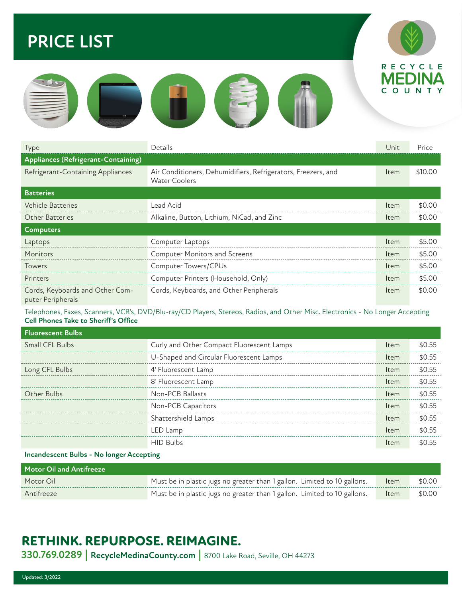## **PRICE LIST**





| Type                                                 | Details                                                                               | Unit | Price   |
|------------------------------------------------------|---------------------------------------------------------------------------------------|------|---------|
| Appliances (Refrigerant-Containing)                  |                                                                                       |      |         |
| Refrigerant-Containing Appliances                    | Air Conditioners, Dehumidifiers, Refrigerators, Freezers, and<br><b>Water Coolers</b> | Item | \$10.00 |
| <b>Batteries</b>                                     |                                                                                       |      |         |
| <b>Vehicle Batteries</b>                             | Lead Acid                                                                             | Item | \$0.00  |
| <b>Other Batteries</b>                               | Alkaline, Button, Lithium, NiCad, and Zinc                                            | Item | \$0.00  |
| <b>Computers</b>                                     |                                                                                       |      |         |
| Laptops                                              | Computer Laptops                                                                      | Item | \$5.00  |
| Monitors                                             | <b>Computer Monitors and Screens</b>                                                  | Item | \$5.00  |
| Towers                                               | <b>Computer Towers/CPUs</b>                                                           | Item | \$5.00  |
| Printers                                             | Computer Printers (Household, Only)                                                   | Item | \$5.00  |
| Cords, Keyboards and Other Com-<br>puter Peripherals | Cords, Keyboards, and Other Peripherals                                               | Item | \$0.00  |

#### Telephones, Faxes, Scanners, VCR's, DVD/Blu-ray/CD Players, Stereos, Radios, and Other Misc. Electronics - No Longer Accepting **Cell Phones Take to Sheriff's Office**

| <b>Fluorescent Bulbs</b> |                                           |      |        |
|--------------------------|-------------------------------------------|------|--------|
| Small CFL Bulbs          | Curly and Other Compact Fluorescent Lamps | Item | \$0.55 |
|                          | U-Shaped and Circular Fluorescent Lamps   | Item | \$0.55 |
| Long CFL Bulbs           | 4' Fluorescent Lamp                       | Item | \$0.55 |
|                          | 8' Fluorescent Lamp                       | Item | \$0.55 |
| Other Bulbs              | Non-PCB Ballasts                          | Item | \$0.55 |
|                          | Non-PCB Capacitors                        | Item | \$0.55 |
|                          | Shattershield Lamps                       | Item | \$0.55 |
|                          | LED Lamp                                  | Item | \$0.55 |
|                          | HID Bulbs                                 | Item |        |
|                          |                                           |      |        |

#### **Incandescent Bulbs - No longer Accepting**

| Motor Oil and Antifreeze |                                                                          |      |        |
|--------------------------|--------------------------------------------------------------------------|------|--------|
| Motor Oil                | Must be in plastic jugs no greater than 1 gallon. Limited to 10 gallons. | Item | \$0.00 |
| Antifreeze               | Must be in plastic jugs no greater than 1 gallon. Limited to 10 gallons. | Item | \$0.00 |

## **RETHINK. REPURPOSE. REIMAGINE.**

**330.769.0289 | RecycleMedinaCounty.com |** 8700 Lake Road, Seville, OH 44273